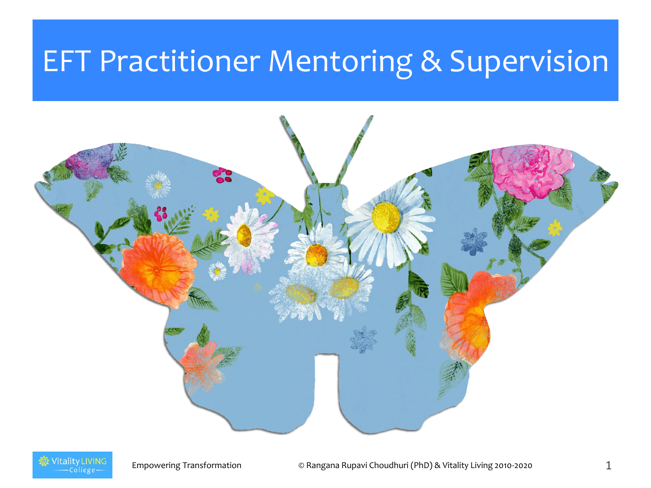#### EFT Practitioner Mentoring & Supervision



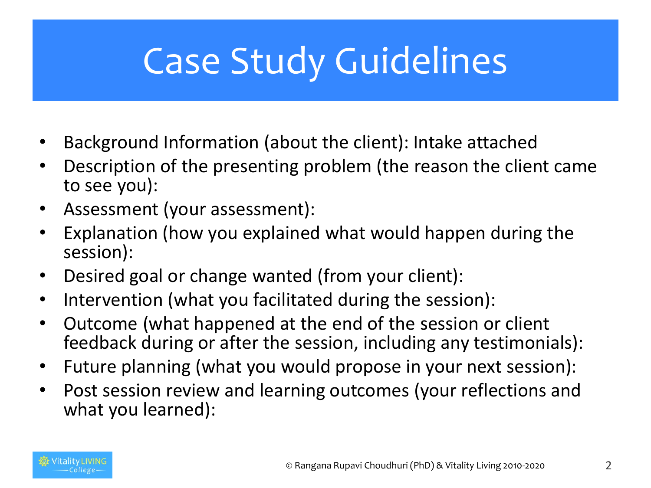# Case Study Guidelines

- Background Information (about the client): Intake attached
- Description of the presenting problem (the reason the client came to see you):
- Assessment (your assessment):
- Explanation (how you explained what would happen during the session):
- Desired goal or change wanted (from your client):
- Intervention (what you facilitated during the session):
- Outcome (what happened at the end of the session or client feedback during or after the session, including any testimonials):
- Future planning (what you would propose in your next session):
- Post session review and learning outcomes (your reflections and what you learned):

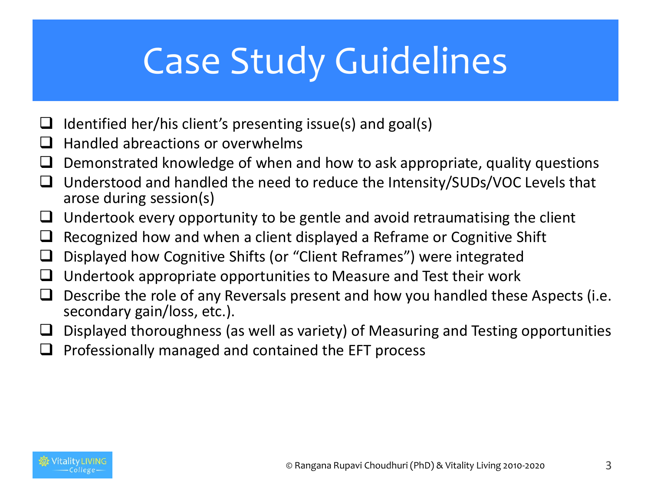# Case Study Guidelines

- $\Box$  Identified her/his client's presenting issue(s) and goal(s)
- $\Box$  Handled abreactions or overwhelms
- $\Box$  Demonstrated knowledge of when and how to ask appropriate, quality questions
- □ Understood and handled the need to reduce the Intensity/SUDs/VOC Levels that arose during session(s)
- $\Box$  Undertook every opportunity to be gentle and avoid retraumatising the client
- $\Box$  Recognized how and when a client displayed a Reframe or Cognitive Shift
- $\Box$  Displayed how Cognitive Shifts (or "Client Reframes") were integrated
- $\Box$  Undertook appropriate opportunities to Measure and Test their work
- $\Box$  Describe the role of any Reversals present and how you handled these Aspects (i.e. secondary gain/loss, etc.).
- $\Box$  Displayed thoroughness (as well as variety) of Measuring and Testing opportunities
- $\Box$  Professionally managed and contained the EFT process

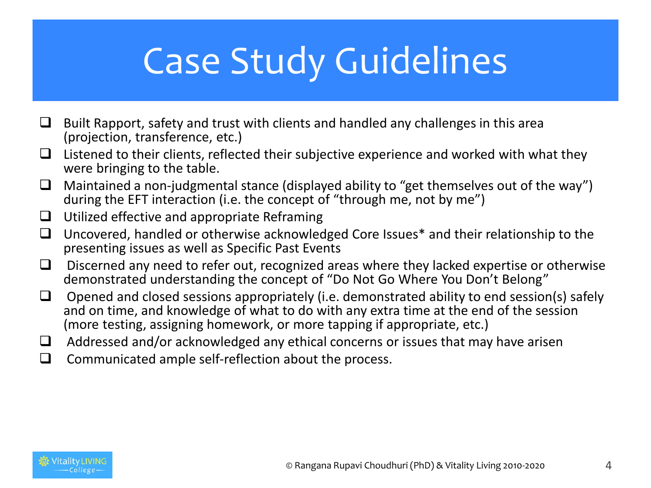# Case Study Guidelines

- $\Box$  Built Rapport, safety and trust with clients and handled any challenges in this area (projection, transference, etc.)
- $\Box$  Listened to their clients, reflected their subjective experience and worked with what they were bringing to the table.
- $\Box$  Maintained a non-judgmental stance (displayed ability to "get themselves out of the way") during the EFT interaction (i.e. the concept of "through me, not by me")
- $\Box$  Utilized effective and appropriate Reframing
- $\Box$  Uncovered, handled or otherwise acknowledged Core Issues\* and their relationship to the presenting issues as well as Specific Past Events
- $\Box$  Discerned any need to refer out, recognized areas where they lacked expertise or otherwise demonstrated understanding the concept of "Do Not Go Where You Don't Belong"
- $\Box$  Opened and closed sessions appropriately (i.e. demonstrated ability to end session(s) safely and on time, and knowledge of what to do with any extra time at the end of the session (more testing, assigning homework, or more tapping if appropriate, etc.)
- $\Box$  Addressed and/or acknowledged any ethical concerns or issues that may have arisen
- $\Box$  Communicated ample self-reflection about the process.

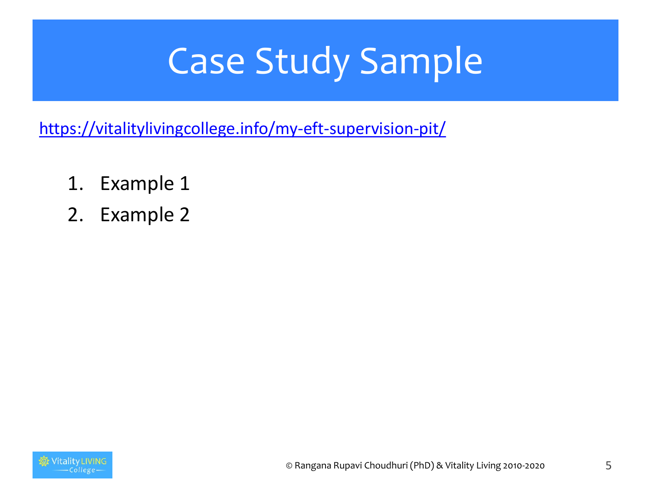# Case Study Sample

<https://vitalitylivingcollege.info/my-eft-supervision-pit/>

- 1. Example 1
- 2. Example 2